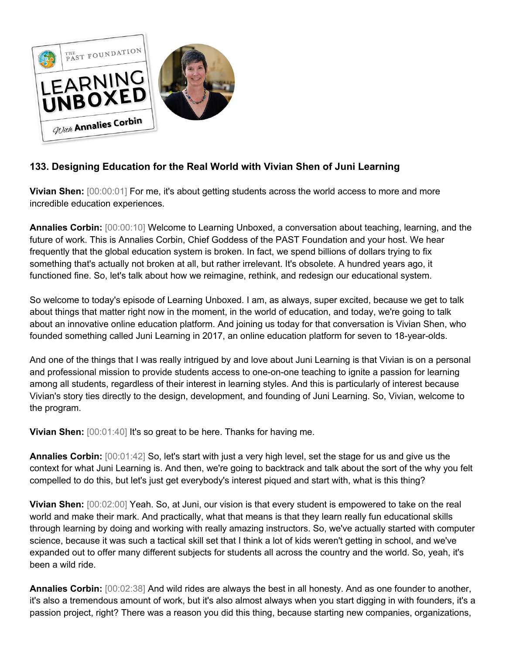

## **133. Designing Education for the Real World with Vivian Shen of Juni Learning**

**Vivian Shen:** [00:00:01] For me, it's about getting students across the world access to more and more incredible education experiences.

**Annalies Corbin:** [00:00:10] Welcome to Learning Unboxed, a conversation about teaching, learning, and the future of work. This is Annalies Corbin, Chief Goddess of the PAST Foundation and your host. We hear frequently that the global education system is broken. In fact, we spend billions of dollars trying to fix something that's actually not broken at all, but rather irrelevant. It's obsolete. A hundred years ago, it functioned fine. So, let's talk about how we reimagine, rethink, and redesign our educational system.

So welcome to today's episode of Learning Unboxed. I am, as always, super excited, because we get to talk about things that matter right now in the moment, in the world of education, and today, we're going to talk about an innovative online education platform. And joining us today for that conversation is Vivian Shen, who founded something called Juni Learning in 2017, an online education platform for seven to 18-year-olds.

And one of the things that I was really intrigued by and love about Juni Learning is that Vivian is on a personal and professional mission to provide students access to one-on-one teaching to ignite a passion for learning among all students, regardless of their interest in learning styles. And this is particularly of interest because Vivian's story ties directly to the design, development, and founding of Juni Learning. So, Vivian, welcome to the program.

**Vivian Shen:** [00:01:40] It's so great to be here. Thanks for having me.

**Annalies Corbin:** [00:01:42] So, let's start with just a very high level, set the stage for us and give us the context for what Juni Learning is. And then, we're going to backtrack and talk about the sort of the why you felt compelled to do this, but let's just get everybody's interest piqued and start with, what is this thing?

**Vivian Shen:** [00:02:00] Yeah. So, at Juni, our vision is that every student is empowered to take on the real world and make their mark. And practically, what that means is that they learn really fun educational skills through learning by doing and working with really amazing instructors. So, we've actually started with computer science, because it was such a tactical skill set that I think a lot of kids weren't getting in school, and we've expanded out to offer many different subjects for students all across the country and the world. So, yeah, it's been a wild ride.

**Annalies Corbin:** [00:02:38] And wild rides are always the best in all honesty. And as one founder to another, it's also a tremendous amount of work, but it's also almost always when you start digging in with founders, it's a passion project, right? There was a reason you did this thing, because starting new companies, organizations,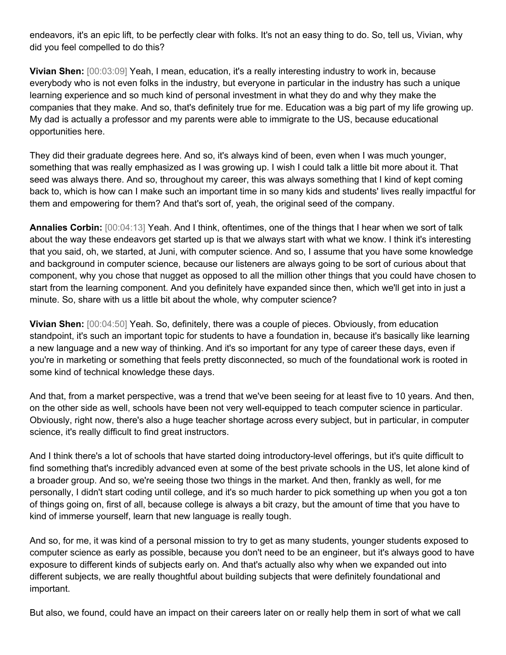endeavors, it's an epic lift, to be perfectly clear with folks. It's not an easy thing to do. So, tell us, Vivian, why did you feel compelled to do this?

**Vivian Shen:** [00:03:09] Yeah, I mean, education, it's a really interesting industry to work in, because everybody who is not even folks in the industry, but everyone in particular in the industry has such a unique learning experience and so much kind of personal investment in what they do and why they make the companies that they make. And so, that's definitely true for me. Education was a big part of my life growing up. My dad is actually a professor and my parents were able to immigrate to the US, because educational opportunities here.

They did their graduate degrees here. And so, it's always kind of been, even when I was much younger, something that was really emphasized as I was growing up. I wish I could talk a little bit more about it. That seed was always there. And so, throughout my career, this was always something that I kind of kept coming back to, which is how can I make such an important time in so many kids and students' lives really impactful for them and empowering for them? And that's sort of, yeah, the original seed of the company.

**Annalies Corbin:** [00:04:13] Yeah. And I think, oftentimes, one of the things that I hear when we sort of talk about the way these endeavors get started up is that we always start with what we know. I think it's interesting that you said, oh, we started, at Juni, with computer science. And so, I assume that you have some knowledge and background in computer science, because our listeners are always going to be sort of curious about that component, why you chose that nugget as opposed to all the million other things that you could have chosen to start from the learning component. And you definitely have expanded since then, which we'll get into in just a minute. So, share with us a little bit about the whole, why computer science?

**Vivian Shen:** [00:04:50] Yeah. So, definitely, there was a couple of pieces. Obviously, from education standpoint, it's such an important topic for students to have a foundation in, because it's basically like learning a new language and a new way of thinking. And it's so important for any type of career these days, even if you're in marketing or something that feels pretty disconnected, so much of the foundational work is rooted in some kind of technical knowledge these days.

And that, from a market perspective, was a trend that we've been seeing for at least five to 10 years. And then, on the other side as well, schools have been not very well-equipped to teach computer science in particular. Obviously, right now, there's also a huge teacher shortage across every subject, but in particular, in computer science, it's really difficult to find great instructors.

And I think there's a lot of schools that have started doing introductory-level offerings, but it's quite difficult to find something that's incredibly advanced even at some of the best private schools in the US, let alone kind of a broader group. And so, we're seeing those two things in the market. And then, frankly as well, for me personally, I didn't start coding until college, and it's so much harder to pick something up when you got a ton of things going on, first of all, because college is always a bit crazy, but the amount of time that you have to kind of immerse yourself, learn that new language is really tough.

And so, for me, it was kind of a personal mission to try to get as many students, younger students exposed to computer science as early as possible, because you don't need to be an engineer, but it's always good to have exposure to different kinds of subjects early on. And that's actually also why when we expanded out into different subjects, we are really thoughtful about building subjects that were definitely foundational and important.

But also, we found, could have an impact on their careers later on or really help them in sort of what we call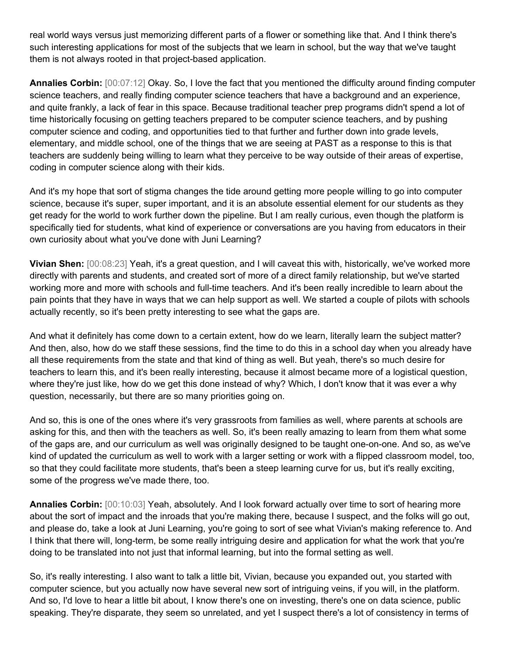real world ways versus just memorizing different parts of a flower or something like that. And I think there's such interesting applications for most of the subjects that we learn in school, but the way that we've taught them is not always rooted in that project-based application.

**Annalies Corbin:** [00:07:12] Okay. So, I love the fact that you mentioned the difficulty around finding computer science teachers, and really finding computer science teachers that have a background and an experience, and quite frankly, a lack of fear in this space. Because traditional teacher prep programs didn't spend a lot of time historically focusing on getting teachers prepared to be computer science teachers, and by pushing computer science and coding, and opportunities tied to that further and further down into grade levels, elementary, and middle school, one of the things that we are seeing at PAST as a response to this is that teachers are suddenly being willing to learn what they perceive to be way outside of their areas of expertise, coding in computer science along with their kids.

And it's my hope that sort of stigma changes the tide around getting more people willing to go into computer science, because it's super, super important, and it is an absolute essential element for our students as they get ready for the world to work further down the pipeline. But I am really curious, even though the platform is specifically tied for students, what kind of experience or conversations are you having from educators in their own curiosity about what you've done with Juni Learning?

**Vivian Shen:** [00:08:23] Yeah, it's a great question, and I will caveat this with, historically, we've worked more directly with parents and students, and created sort of more of a direct family relationship, but we've started working more and more with schools and full-time teachers. And it's been really incredible to learn about the pain points that they have in ways that we can help support as well. We started a couple of pilots with schools actually recently, so it's been pretty interesting to see what the gaps are.

And what it definitely has come down to a certain extent, how do we learn, literally learn the subject matter? And then, also, how do we staff these sessions, find the time to do this in a school day when you already have all these requirements from the state and that kind of thing as well. But yeah, there's so much desire for teachers to learn this, and it's been really interesting, because it almost became more of a logistical question, where they're just like, how do we get this done instead of why? Which, I don't know that it was ever a why question, necessarily, but there are so many priorities going on.

And so, this is one of the ones where it's very grassroots from families as well, where parents at schools are asking for this, and then with the teachers as well. So, it's been really amazing to learn from them what some of the gaps are, and our curriculum as well was originally designed to be taught one-on-one. And so, as we've kind of updated the curriculum as well to work with a larger setting or work with a flipped classroom model, too, so that they could facilitate more students, that's been a steep learning curve for us, but it's really exciting, some of the progress we've made there, too.

**Annalies Corbin:** [00:10:03] Yeah, absolutely. And I look forward actually over time to sort of hearing more about the sort of impact and the inroads that you're making there, because I suspect, and the folks will go out, and please do, take a look at Juni Learning, you're going to sort of see what Vivian's making reference to. And I think that there will, long-term, be some really intriguing desire and application for what the work that you're doing to be translated into not just that informal learning, but into the formal setting as well.

So, it's really interesting. I also want to talk a little bit, Vivian, because you expanded out, you started with computer science, but you actually now have several new sort of intriguing veins, if you will, in the platform. And so, I'd love to hear a little bit about, I know there's one on investing, there's one on data science, public speaking. They're disparate, they seem so unrelated, and yet I suspect there's a lot of consistency in terms of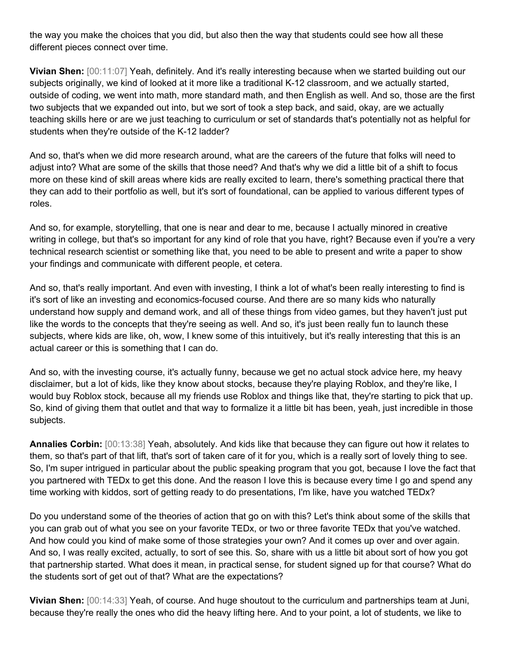the way you make the choices that you did, but also then the way that students could see how all these different pieces connect over time.

**Vivian Shen:** [00:11:07] Yeah, definitely. And it's really interesting because when we started building out our subjects originally, we kind of looked at it more like a traditional K-12 classroom, and we actually started, outside of coding, we went into math, more standard math, and then English as well. And so, those are the first two subjects that we expanded out into, but we sort of took a step back, and said, okay, are we actually teaching skills here or are we just teaching to curriculum or set of standards that's potentially not as helpful for students when they're outside of the K-12 ladder?

And so, that's when we did more research around, what are the careers of the future that folks will need to adjust into? What are some of the skills that those need? And that's why we did a little bit of a shift to focus more on these kind of skill areas where kids are really excited to learn, there's something practical there that they can add to their portfolio as well, but it's sort of foundational, can be applied to various different types of roles.

And so, for example, storytelling, that one is near and dear to me, because I actually minored in creative writing in college, but that's so important for any kind of role that you have, right? Because even if you're a very technical research scientist or something like that, you need to be able to present and write a paper to show your findings and communicate with different people, et cetera.

And so, that's really important. And even with investing, I think a lot of what's been really interesting to find is it's sort of like an investing and economics-focused course. And there are so many kids who naturally understand how supply and demand work, and all of these things from video games, but they haven't just put like the words to the concepts that they're seeing as well. And so, it's just been really fun to launch these subjects, where kids are like, oh, wow, I knew some of this intuitively, but it's really interesting that this is an actual career or this is something that I can do.

And so, with the investing course, it's actually funny, because we get no actual stock advice here, my heavy disclaimer, but a lot of kids, like they know about stocks, because they're playing Roblox, and they're like, I would buy Roblox stock, because all my friends use Roblox and things like that, they're starting to pick that up. So, kind of giving them that outlet and that way to formalize it a little bit has been, yeah, just incredible in those subjects.

**Annalies Corbin:** [00:13:38] Yeah, absolutely. And kids like that because they can figure out how it relates to them, so that's part of that lift, that's sort of taken care of it for you, which is a really sort of lovely thing to see. So, I'm super intrigued in particular about the public speaking program that you got, because I love the fact that you partnered with TEDx to get this done. And the reason I love this is because every time I go and spend any time working with kiddos, sort of getting ready to do presentations, I'm like, have you watched TEDx?

Do you understand some of the theories of action that go on with this? Let's think about some of the skills that you can grab out of what you see on your favorite TEDx, or two or three favorite TEDx that you've watched. And how could you kind of make some of those strategies your own? And it comes up over and over again. And so, I was really excited, actually, to sort of see this. So, share with us a little bit about sort of how you got that partnership started. What does it mean, in practical sense, for student signed up for that course? What do the students sort of get out of that? What are the expectations?

**Vivian Shen:** [00:14:33] Yeah, of course. And huge shoutout to the curriculum and partnerships team at Juni, because they're really the ones who did the heavy lifting here. And to your point, a lot of students, we like to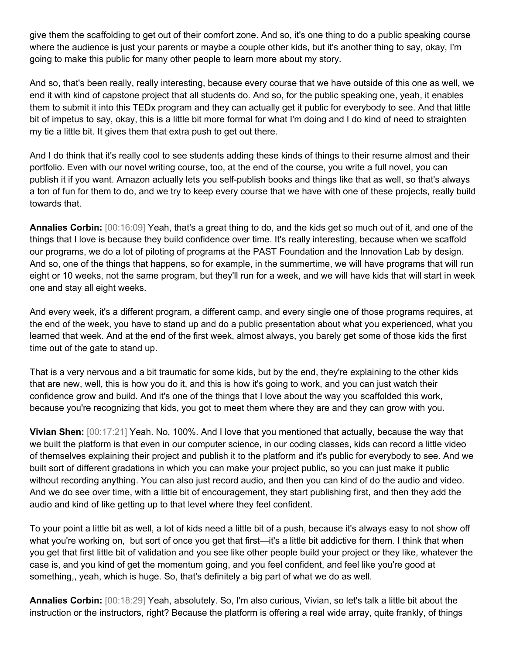give them the scaffolding to get out of their comfort zone. And so, it's one thing to do a public speaking course where the audience is just your parents or maybe a couple other kids, but it's another thing to say, okay, I'm going to make this public for many other people to learn more about my story.

And so, that's been really, really interesting, because every course that we have outside of this one as well, we end it with kind of capstone project that all students do. And so, for the public speaking one, yeah, it enables them to submit it into this TEDx program and they can actually get it public for everybody to see. And that little bit of impetus to say, okay, this is a little bit more formal for what I'm doing and I do kind of need to straighten my tie a little bit. It gives them that extra push to get out there.

And I do think that it's really cool to see students adding these kinds of things to their resume almost and their portfolio. Even with our novel writing course, too, at the end of the course, you write a full novel, you can publish it if you want. Amazon actually lets you self-publish books and things like that as well, so that's always a ton of fun for them to do, and we try to keep every course that we have with one of these projects, really build towards that.

**Annalies Corbin:** [00:16:09] Yeah, that's a great thing to do, and the kids get so much out of it, and one of the things that I love is because they build confidence over time. It's really interesting, because when we scaffold our programs, we do a lot of piloting of programs at the PAST Foundation and the Innovation Lab by design. And so, one of the things that happens, so for example, in the summertime, we will have programs that will run eight or 10 weeks, not the same program, but they'll run for a week, and we will have kids that will start in week one and stay all eight weeks.

And every week, it's a different program, a different camp, and every single one of those programs requires, at the end of the week, you have to stand up and do a public presentation about what you experienced, what you learned that week. And at the end of the first week, almost always, you barely get some of those kids the first time out of the gate to stand up.

That is a very nervous and a bit traumatic for some kids, but by the end, they're explaining to the other kids that are new, well, this is how you do it, and this is how it's going to work, and you can just watch their confidence grow and build. And it's one of the things that I love about the way you scaffolded this work, because you're recognizing that kids, you got to meet them where they are and they can grow with you.

**Vivian Shen:** [00:17:21] Yeah. No, 100%. And I love that you mentioned that actually, because the way that we built the platform is that even in our computer science, in our coding classes, kids can record a little video of themselves explaining their project and publish it to the platform and it's public for everybody to see. And we built sort of different gradations in which you can make your project public, so you can just make it public without recording anything. You can also just record audio, and then you can kind of do the audio and video. And we do see over time, with a little bit of encouragement, they start publishing first, and then they add the audio and kind of like getting up to that level where they feel confident.

To your point a little bit as well, a lot of kids need a little bit of a push, because it's always easy to not show off what you're working on, but sort of once you get that first—it's a little bit addictive for them. I think that when you get that first little bit of validation and you see like other people build your project or they like, whatever the case is, and you kind of get the momentum going, and you feel confident, and feel like you're good at something,, yeah, which is huge. So, that's definitely a big part of what we do as well.

**Annalies Corbin:** [00:18:29] Yeah, absolutely. So, I'm also curious, Vivian, so let's talk a little bit about the instruction or the instructors, right? Because the platform is offering a real wide array, quite frankly, of things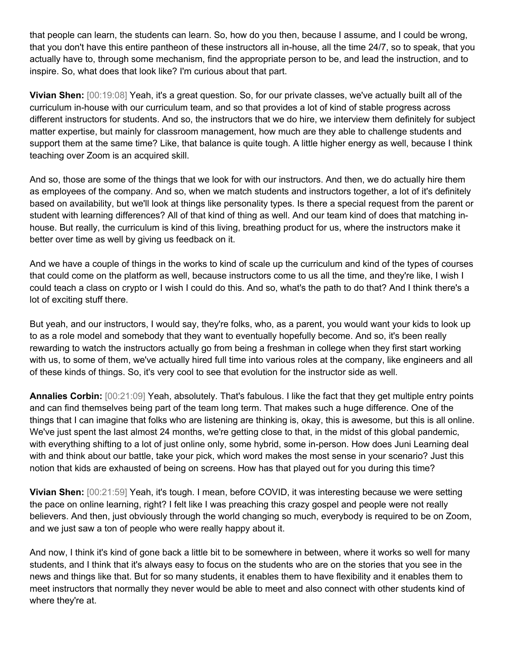that people can learn, the students can learn. So, how do you then, because I assume, and I could be wrong, that you don't have this entire pantheon of these instructors all in-house, all the time 24/7, so to speak, that you actually have to, through some mechanism, find the appropriate person to be, and lead the instruction, and to inspire. So, what does that look like? I'm curious about that part.

**Vivian Shen:** [00:19:08] Yeah, it's a great question. So, for our private classes, we've actually built all of the curriculum in-house with our curriculum team, and so that provides a lot of kind of stable progress across different instructors for students. And so, the instructors that we do hire, we interview them definitely for subject matter expertise, but mainly for classroom management, how much are they able to challenge students and support them at the same time? Like, that balance is quite tough. A little higher energy as well, because I think teaching over Zoom is an acquired skill.

And so, those are some of the things that we look for with our instructors. And then, we do actually hire them as employees of the company. And so, when we match students and instructors together, a lot of it's definitely based on availability, but we'll look at things like personality types. Is there a special request from the parent or student with learning differences? All of that kind of thing as well. And our team kind of does that matching inhouse. But really, the curriculum is kind of this living, breathing product for us, where the instructors make it better over time as well by giving us feedback on it.

And we have a couple of things in the works to kind of scale up the curriculum and kind of the types of courses that could come on the platform as well, because instructors come to us all the time, and they're like, I wish I could teach a class on crypto or I wish I could do this. And so, what's the path to do that? And I think there's a lot of exciting stuff there.

But yeah, and our instructors, I would say, they're folks, who, as a parent, you would want your kids to look up to as a role model and somebody that they want to eventually hopefully become. And so, it's been really rewarding to watch the instructors actually go from being a freshman in college when they first start working with us, to some of them, we've actually hired full time into various roles at the company, like engineers and all of these kinds of things. So, it's very cool to see that evolution for the instructor side as well.

**Annalies Corbin:** [00:21:09] Yeah, absolutely. That's fabulous. I like the fact that they get multiple entry points and can find themselves being part of the team long term. That makes such a huge difference. One of the things that I can imagine that folks who are listening are thinking is, okay, this is awesome, but this is all online. We've just spent the last almost 24 months, we're getting close to that, in the midst of this global pandemic, with everything shifting to a lot of just online only, some hybrid, some in-person. How does Juni Learning deal with and think about our battle, take your pick, which word makes the most sense in your scenario? Just this notion that kids are exhausted of being on screens. How has that played out for you during this time?

**Vivian Shen:** [00:21:59] Yeah, it's tough. I mean, before COVID, it was interesting because we were setting the pace on online learning, right? I felt like I was preaching this crazy gospel and people were not really believers. And then, just obviously through the world changing so much, everybody is required to be on Zoom, and we just saw a ton of people who were really happy about it.

And now, I think it's kind of gone back a little bit to be somewhere in between, where it works so well for many students, and I think that it's always easy to focus on the students who are on the stories that you see in the news and things like that. But for so many students, it enables them to have flexibility and it enables them to meet instructors that normally they never would be able to meet and also connect with other students kind of where they're at.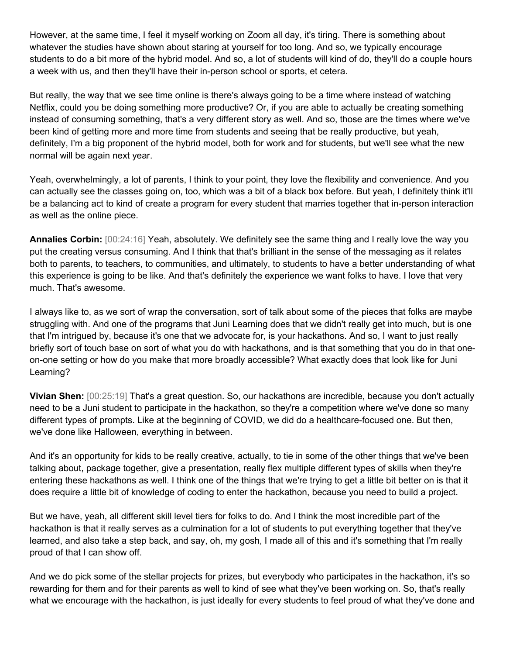However, at the same time, I feel it myself working on Zoom all day, it's tiring. There is something about whatever the studies have shown about staring at yourself for too long. And so, we typically encourage students to do a bit more of the hybrid model. And so, a lot of students will kind of do, they'll do a couple hours a week with us, and then they'll have their in-person school or sports, et cetera.

But really, the way that we see time online is there's always going to be a time where instead of watching Netflix, could you be doing something more productive? Or, if you are able to actually be creating something instead of consuming something, that's a very different story as well. And so, those are the times where we've been kind of getting more and more time from students and seeing that be really productive, but yeah, definitely, I'm a big proponent of the hybrid model, both for work and for students, but we'll see what the new normal will be again next year.

Yeah, overwhelmingly, a lot of parents, I think to your point, they love the flexibility and convenience. And you can actually see the classes going on, too, which was a bit of a black box before. But yeah, I definitely think it'll be a balancing act to kind of create a program for every student that marries together that in-person interaction as well as the online piece.

**Annalies Corbin:** [00:24:16] Yeah, absolutely. We definitely see the same thing and I really love the way you put the creating versus consuming. And I think that that's brilliant in the sense of the messaging as it relates both to parents, to teachers, to communities, and ultimately, to students to have a better understanding of what this experience is going to be like. And that's definitely the experience we want folks to have. I love that very much. That's awesome.

I always like to, as we sort of wrap the conversation, sort of talk about some of the pieces that folks are maybe struggling with. And one of the programs that Juni Learning does that we didn't really get into much, but is one that I'm intrigued by, because it's one that we advocate for, is your hackathons. And so, I want to just really briefly sort of touch base on sort of what you do with hackathons, and is that something that you do in that oneon-one setting or how do you make that more broadly accessible? What exactly does that look like for Juni Learning?

**Vivian Shen:** [00:25:19] That's a great question. So, our hackathons are incredible, because you don't actually need to be a Juni student to participate in the hackathon, so they're a competition where we've done so many different types of prompts. Like at the beginning of COVID, we did do a healthcare-focused one. But then, we've done like Halloween, everything in between.

And it's an opportunity for kids to be really creative, actually, to tie in some of the other things that we've been talking about, package together, give a presentation, really flex multiple different types of skills when they're entering these hackathons as well. I think one of the things that we're trying to get a little bit better on is that it does require a little bit of knowledge of coding to enter the hackathon, because you need to build a project.

But we have, yeah, all different skill level tiers for folks to do. And I think the most incredible part of the hackathon is that it really serves as a culmination for a lot of students to put everything together that they've learned, and also take a step back, and say, oh, my gosh, I made all of this and it's something that I'm really proud of that I can show off.

And we do pick some of the stellar projects for prizes, but everybody who participates in the hackathon, it's so rewarding for them and for their parents as well to kind of see what they've been working on. So, that's really what we encourage with the hackathon, is just ideally for every students to feel proud of what they've done and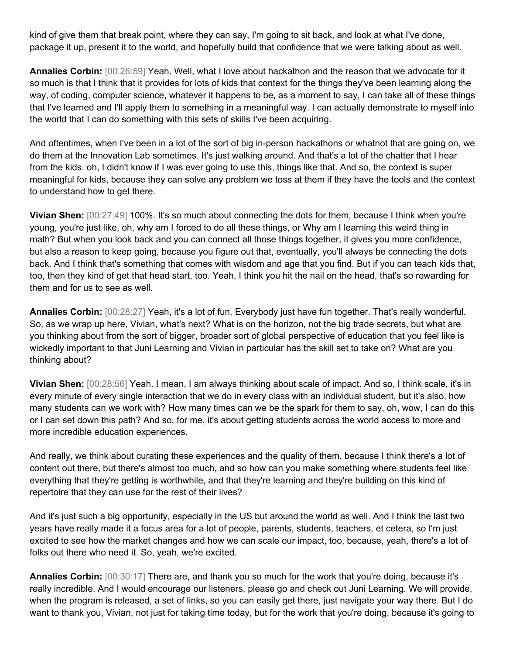kind of give them that break point, where they can say, I'm going to sit back, and look at what I've done, package it up, present it to the world, and hopefully build that confidence that we were talking about as well.

**Annalies Corbin:** [00:26:59] Yeah. Well, what I love about hackathon and the reason that we advocate for it so much is that I think that it provides for lots of kids that context for the things they've been learning along the way, of coding, computer science, whatever it happens to be, as a moment to say, I can take all of these things that I've learned and I'll apply them to something in a meaningful way. I can actually demonstrate to myself into the world that I can do something with this sets of skills I've been acquiring.

And oftentimes, when I've been in a lot of the sort of big in-person hackathons or whatnot that are going on, we do them at the Innovation Lab sometimes. It's just walking around. And that's a lot of the chatter that I hear from the kids. oh, I didn't know if I was ever going to use this, things like that. And so, the context is super meaningful for kids, because they can solve any problem we toss at them if they have the tools and the context to understand how to get there.

**Vivian Shen:** [00:27:49] 100%. It's so much about connecting the dots for them, because I think when you're young, you're just like, oh, why am I forced to do all these things, or Why am I learning this weird thing in math? But when you look back and you can connect all those things together, it gives you more confidence, but also a reason to keep going, because you figure out that, eventually, you'll always be connecting the dots back. And I think that's something that comes with wisdom and age that you find. But if you can teach kids that, too, then they kind of get that head start, too. Yeah, I think you hit the nail on the head, that's so rewarding for them and for us to see as well.

**Annalies Corbin:** [00:28:27] Yeah, it's a lot of fun. Everybody just have fun together. That's really wonderful. So, as we wrap up here, Vivian, what's next? What is on the horizon, not the big trade secrets, but what are you thinking about from the sort of bigger, broader sort of global perspective of education that you feel like is wickedly important to that Juni Learning and Vivian in particular has the skill set to take on? What are you thinking about?

**Vivian Shen:** [00:28:56] Yeah. I mean, I am always thinking about scale of impact. And so, I think scale, it's in every minute of every single interaction that we do in every class with an individual student, but it's also, how many students can we work with? How many times can we be the spark for them to say, oh, wow, I can do this or I can set down this path? And so, for me, it's about getting students across the world access to more and more incredible education experiences.

And really, we think about curating these experiences and the quality of them, because I think there's a lot of content out there, but there's almost too much, and so how can you make something where students feel like everything that they're getting is worthwhile, and that they're learning and they're building on this kind of repertoire that they can use for the rest of their lives?

And it's just such a big opportunity, especially in the US but around the world as well. And I think the last two years have really made it a focus area for a lot of people, parents, students, teachers, et cetera, so I'm just excited to see how the market changes and how we can scale our impact, too, because, yeah, there's a lot of folks out there who need it. So, yeah, we're excited.

**Annalies Corbin:** [00:30:17] There are, and thank you so much for the work that you're doing, because it's really incredible. And I would encourage our listeners, please go and check out Juni Learning. We will provide, when the program is released, a set of links, so you can easily get there, just navigate your way there. But I do want to thank you, Vivian, not just for taking time today, but for the work that you're doing, because it's going to